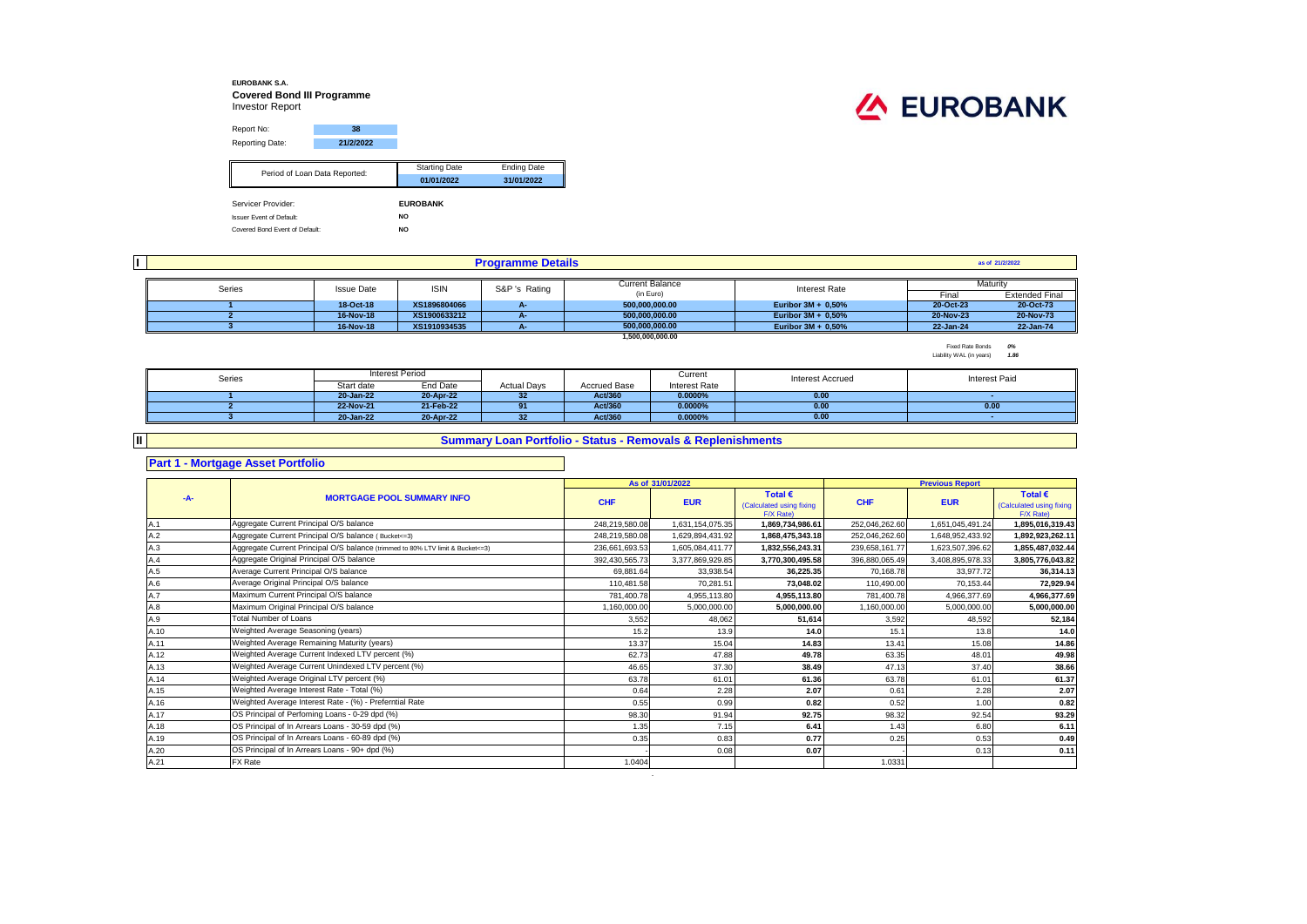### **EUROBANK S.A. Covered Bond III Programme** Investor Report

 $\sim$ 



| Report No:                                                        | 38                            |                      |                    |  |  |
|-------------------------------------------------------------------|-------------------------------|----------------------|--------------------|--|--|
| Reporting Date:                                                   | 21/2/2022                     |                      |                    |  |  |
|                                                                   |                               |                      |                    |  |  |
|                                                                   | Period of Loan Data Reported: | <b>Starting Date</b> | <b>Ending Date</b> |  |  |
|                                                                   |                               | 01/01/2022           | 31/01/2022         |  |  |
|                                                                   |                               |                      |                    |  |  |
| Servicer Provider:                                                |                               | <b>EUROBANK</b>      |                    |  |  |
| <b>Issuer Event of Default:</b><br>Covered Bond Event of Default: |                               | NO.                  |                    |  |  |
|                                                                   |                               | <b>NO</b>            |                    |  |  |

|          |        |                   | as of 21/2/2022 |               |                                     |                       |           |                       |  |
|----------|--------|-------------------|-----------------|---------------|-------------------------------------|-----------------------|-----------|-----------------------|--|
| Maturity |        |                   |                 |               |                                     |                       |           |                       |  |
|          | Series | <b>Issue Date</b> | <b>ISIN</b>     | S&P 's Rating | <b>Current Balance</b><br>(in Euro) | Interest Rate         | Final     | <b>Extended Final</b> |  |
|          |        | 18-Oct-18         | XS1896804066    | <b>A-</b>     | 500.000.000.00                      | Euribor 3M + 0,50%    | 20-Oct-23 | 20-Oct-73             |  |
|          |        | 16-Nov-18         | XS1900633212    | А.            | 500.000.000.00                      | Euribor $3M + 0.50\%$ | 20-Nov-23 | 20-Nov-73             |  |
|          |        | 16-Nov-18         | XS1910934535    |               | 500.000.000.00                      | Euribor $3M + 0.50\%$ | 22-Jan-24 | 22-Jan-74             |  |
|          |        |                   |                 |               | 1,500,000,000,00                    |                       |           |                       |  |

Fixed Rate Bonds *0%* Liability WAL (in years) *1.86*

| Series |            | Interest Period |                    |              | Current              | <b>Interest Accrued</b> | Interest Paid |
|--------|------------|-----------------|--------------------|--------------|----------------------|-------------------------|---------------|
|        | Start date | End Date        | <b>Actual Days</b> | Accrued Base | <b>Interest Rate</b> |                         |               |
|        | 20-Jan-22  | 20-Apr-22       | 32                 | Act/360      | 0.0000%              | 0.00                    |               |
|        | 22-Nov-21  | 21-Feb-22       | 91                 | Act/360      | 0.0000%              | 0.00                    | 0.00          |
|        | 20-Jan-22  | 20-Apr-22       | 32                 | Act/360      | 0.0000%              | 0.00                    |               |

## **Summary Loan Portfolio - Status - Removals & Replenishments**

## **Part 1 - Mortgage Asset Portfolio**

**II**

#### **As of** Total € **Total EXECUS Fotal EXECUS Fotal EXECUS Fotal EXECUS Fotal EXECUS** (Calculated using fixing **EUR CHF EUR**  $F/X$  Rate)<br>1.869.734.986.61 Calculated using fixing  $F/X$  Rate)<br>1.895.016.319.43 A.1 248,219,580.08 1,631,154,075.35 **1,869,734,986.61** 252,046,262.60 1,651,045,491.24 **1,895,016,319.43** Aggregate Current Principal O/S balance A.2 248,219,580.08 1,629,894,431.92 **1,868,475,343.18** 252,046,262.60 1,648,952,433.92 **1,892,923,262.11** Aggregate Current Principal O/S balance ( Bucket<=3) A.3 **239,658,161.77** 1,623,507,396.62 1,**855,487,032.44** Aggregate Current Principal O/S balance (trimmed to 80% LTV limit & Bucket<=3) **236,661,693.53** 1,605,084,411.77 **1,832,556,243.31** 239,658,161.77 1,623,507,396.62 1 A.4 392,430,565.73 3,377,869,929.85 **3,770,300,495.58** 396,880,065.49 3,408,895,978.33 **3,805,776,043.82** Aggregate Original Principal O/S balance A.5 69,881.64 33,938.54 **36,225.35** 70,168.78 33,977.72 **36,314.13** A.6 110,481.58 70,281.51 **73,048.02** 110,490.00 70,153.44 **72,929.94** Average Original Principal O/S balance A.7 781,400.78 4,955,113.80 **4,955,113.80** 781,400.78 4,966,377.69 **4,966,377.69** Maximum Current Principal O/S balance A.8 1,160,000.00 5,000,000.00 **5,000,000.00** 1,160,000.00 5,000,000.00 **5,000,000.00** Maximum Original Principal O/S balance A.9 3,552 48,062 **51,614** 3,592 48,592 **52,184** A.10 15.2 13.9 **14.0** 15.1 13.8 **14.0** Weighted Average Seasoning (years) A.11 13.37 15.04 **14.83** 13.41 15.08 **14.86** Weighted Average Remaining Maturity (years) A.12 62.73 47.88 **49.78** 63.35 48.01 **49.98** Weighted Average Current Indexed LTV percent (%) A.13 46.65 37.30 **38.49** 47.13 37.40 **38.66** Weighted Average Current Unindexed LTV percent (%) A.14 63.78 61.01 **61.36** 63.78 61.01 **61.37** Weighted Average Original LTV percent (%) A.15 0.64 2.28 **2.07** 0.61 2.28 **2.07** Weighted Average Interest Rate - Total (%) A.16 0.55 0.99 **0.82** 0.52 1.00 **0.82** Weighted Average Interest Rate - (%) - Preferntial Rate A.17 98.30 91.94 **92.75** 98.32 92.54 **93.29** OS Principal of Perfoming Loans - 0-29 dpd (%) A.18 1.35 7.15 **6.41** 1.43 6.80 **6.11** OS Principal of In Arrears Loans - 30-59 dpd (%) A.19 0.35 0.83 **0.77** 0.25 0.53 **0.49** OS Principal of In Arrears Loans - 60-89 dpd (%) A.20 **0.07 0.13 0.13 0.11 0.13 0.13 0.13 0.11 0.13 0.11 0.14 0.15 0.13 0.11 0.13 0.11** A.21 PX Rate that the set of the set of the set of the set of the set of the set of the set of the set of the s **-A- MORTGAGE POOL SUMMARY INFO Previous Report CHF Average Current Principal O/S balance** Total Number of Loans FX Rate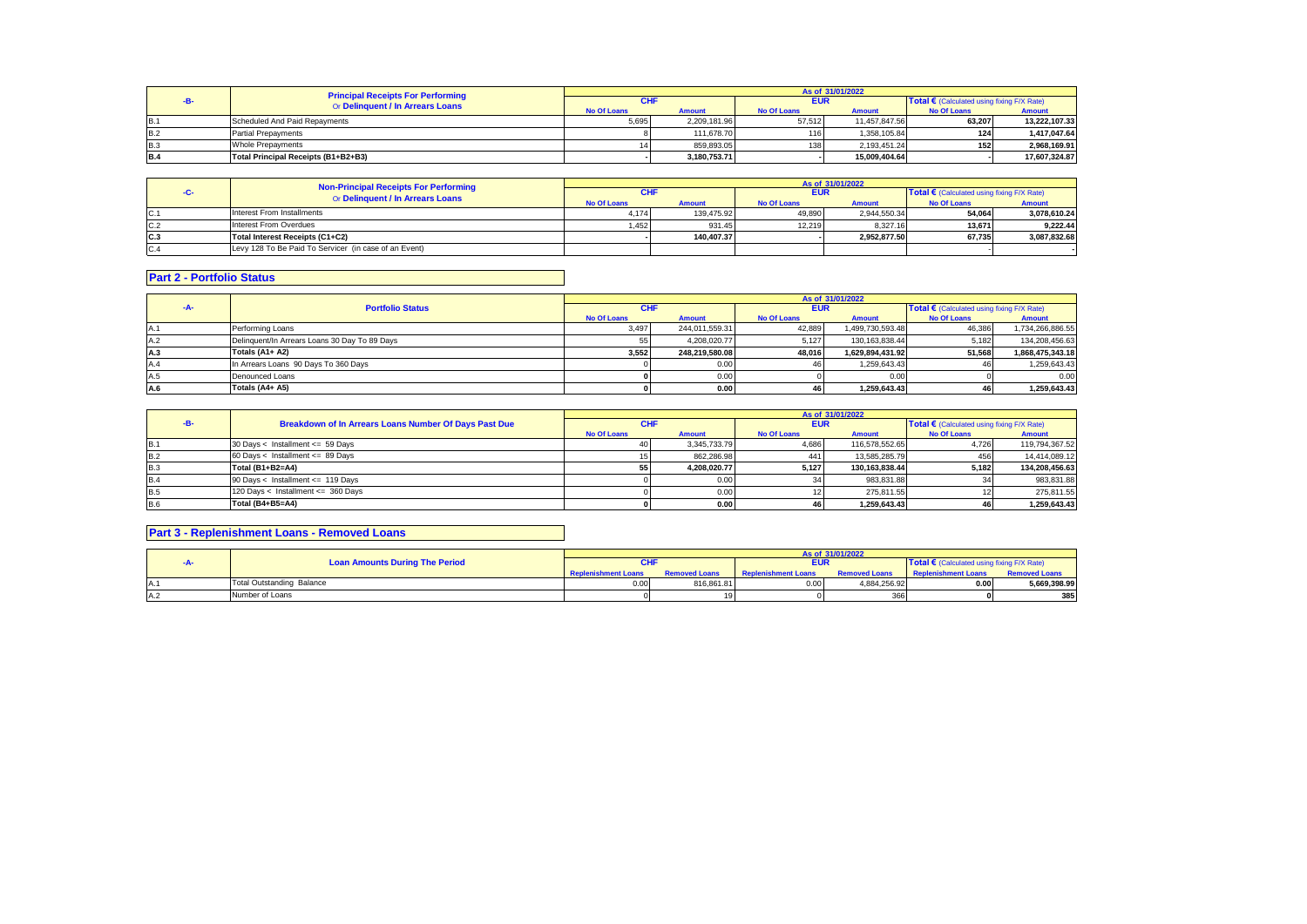|            | <b>Principal Receipts For Performing</b><br>Or Delinquent / In Arrears Loans | As of 31/01/2022   |               |                    |               |                                            |               |  |
|------------|------------------------------------------------------------------------------|--------------------|---------------|--------------------|---------------|--------------------------------------------|---------------|--|
|            |                                                                              | CHI                |               | <b>EUR</b>         |               | Total € (Calculated using fixing F/X Rate) |               |  |
|            |                                                                              | <b>No Of Loans</b> | <b>Amount</b> | <b>No Of Loans</b> | <b>Amount</b> | <b>No Of Loans</b>                         | <b>Amount</b> |  |
| <b>B.1</b> | Scheduled And Paid Repayments                                                | 5,695              | 2.209.181.96  | 57.512             | 11.457.847.56 | 63.207                                     | 13.222.107.33 |  |
| <b>B.2</b> | <b>Partial Prepayments</b>                                                   |                    | 111.678.70    | 1161               | 1.358.105.84  | 124                                        | 1.417.047.64  |  |
| <b>B.3</b> | <b>Whole Prepayments</b>                                                     |                    | 859.893.05    | 138                | 2.193.451.24  | 152                                        | 2.968.169.91  |  |
| <b>B.4</b> | Total Principal Receipts (B1+B2+B3)                                          |                    | 3.180.753.71  |                    | 15.009.404.64 |                                            | 17.607.324.87 |  |

|     | Non-Principal Receipts For Performing<br>Or Delinquent / In Arrears Loans | As of 31/01/2022   |               |                    |               |                                            |               |  |
|-----|---------------------------------------------------------------------------|--------------------|---------------|--------------------|---------------|--------------------------------------------|---------------|--|
|     |                                                                           | CHI                |               | <b>EUR</b>         |               | Total € (Calculated using fixing F/X Rate) |               |  |
|     |                                                                           | <b>No Of Loans</b> | <b>Amount</b> | <b>No Of Loans</b> | <b>Amount</b> | <b>No Of Loans</b>                         | <b>Amount</b> |  |
| C.1 | Interest From Installments                                                | 4.174              | 139.475.92    | 49.890             | 2.944.550.34  | 54.064                                     | 3.078.610.24  |  |
| C.2 | Interest From Overdues                                                    | 1.452              | 931.45        | 12.219             | 8.327.16      | 13.671                                     | 9.222.44      |  |
| C.3 | Total Interest Receipts (C1+C2)                                           |                    | 140.407.37    |                    | 2.952.877.50  | 67.735                                     | 3.087.832.68  |  |
| C.4 | Levy 128 To Be Paid To Servicer (in case of an Event)                     |                    |               |                    |               |                                            |               |  |

# **Part 2 - Portfolio Status**

|      |                                               | As of 31/01/2022   |                |                    |                  |                                                     |                  |  |  |
|------|-----------------------------------------------|--------------------|----------------|--------------------|------------------|-----------------------------------------------------|------------------|--|--|
| -A-  | <b>Portfolio Status</b>                       | <b>CHF</b>         |                | <b>EUR</b>         |                  | Total $\epsilon$ (Calculated using fixing F/X Rate) |                  |  |  |
|      |                                               | <b>No Of Loans</b> | <b>Amount</b>  | <b>No Of Loans</b> | <b>Amount</b>    | <b>No Of Loans</b>                                  | Amount           |  |  |
| IA.1 | Performing Loans                              | 3,497              | 244,011,559.31 | 42,889             | 1,499,730,593.48 | 46,386                                              | 1,734,266,886.55 |  |  |
| A.2  | Delinquent/In Arrears Loans 30 Day To 89 Days | 55 I               | 4.208.020.77   | 5.127              | 130.163.838.44   | 5.182                                               | 134.208.456.63   |  |  |
| A.3  | Totals (A1+ A2)                               | 3.552              | 248.219.580.08 | 48.016             | 1.629.894.431.92 | 51.568                                              | 1.868.475.343.18 |  |  |
| A.4  | In Arrears Loans 90 Days To 360 Days          |                    | 0.00           | 46                 | 1.259.643.43     |                                                     | 1,259,643.43     |  |  |
| A.5  | Denounced Loans                               |                    | 0.00           |                    | 0.00             |                                                     | 0.00             |  |  |
| A.6  | Totals (A4+ A5)                               |                    | 0.00           | 46                 | 1.259.643.43     |                                                     | 1.259.643.43     |  |  |

|            | Breakdown of In Arrears Loans Number Of Days Past Due | As of 31/01/2022   |               |                    |                |                                                     |                |  |
|------------|-------------------------------------------------------|--------------------|---------------|--------------------|----------------|-----------------------------------------------------|----------------|--|
|            |                                                       | <b>CHF</b>         |               | <b>EUR</b>         |                | Total $\epsilon$ (Calculated using fixing F/X Rate) |                |  |
|            |                                                       | <b>No Of Loans</b> | <b>Amount</b> | <b>No Of Loans</b> | <b>Amount</b>  | <b>No Of Loans</b>                                  | <b>Amount</b>  |  |
| <b>B.1</b> | 30 Days < Installment <= 59 Days                      |                    | 3.345.733.79  | 4.686              | 116.578.552.65 | 4.726                                               | 119,794,367.52 |  |
| <b>B.2</b> | 60 Days < Installment <= 89 Days                      |                    | 862.286.98    | 441                | 13.585.285.79  | 456                                                 | 14.414.089.12  |  |
| <b>B.3</b> | Total (B1+B2=A4)                                      | 55 I               | 4.208.020.77  | 5.127              | 130.163.838.44 | 5.182                                               | 134.208.456.63 |  |
| B.4        | 90 Days < Installment <= 119 Days                     |                    | 0.00          |                    | 983.831.88     |                                                     | 983,831.88     |  |
| <b>B.5</b> | 120 Days < Installment <= 360 Days                    |                    | 0.00          |                    | 275.811.55     |                                                     | 275,811.55     |  |
| <b>B.6</b> | Total (B4+B5=A4)                                      |                    | 0.00          | 46                 | 1.259.643.43   |                                                     | 1.259.643.43   |  |

# **Part 3 - Replenishment Loans - Removed Loans**

|    |                                       |                                  | As of 31/01/2022           |                      |                            |                                              |                            |                      |  |
|----|---------------------------------------|----------------------------------|----------------------------|----------------------|----------------------------|----------------------------------------------|----------------------------|----------------------|--|
|    | <b>Loan Amounts During The Period</b> |                                  |                            | <b>EUR</b>           |                            | Total € (Calculated using fixing $F/X$ Rate) |                            |                      |  |
|    |                                       |                                  | <b>Replenishment Loans</b> | <b>Removed Loans</b> | <b>Replenishment Loans</b> | <b>Removed Loans</b>                         | <b>Replenishment Loans</b> | <b>Removed Loans</b> |  |
|    |                                       | <b>Total Outstanding Balance</b> | 0.00                       | 816.861.81           | 0.00                       | 4.884.256.92                                 | 0.00                       | 5,669,398.99         |  |
| A. |                                       | Number of Loans                  |                            |                      |                            | 366                                          |                            | 385                  |  |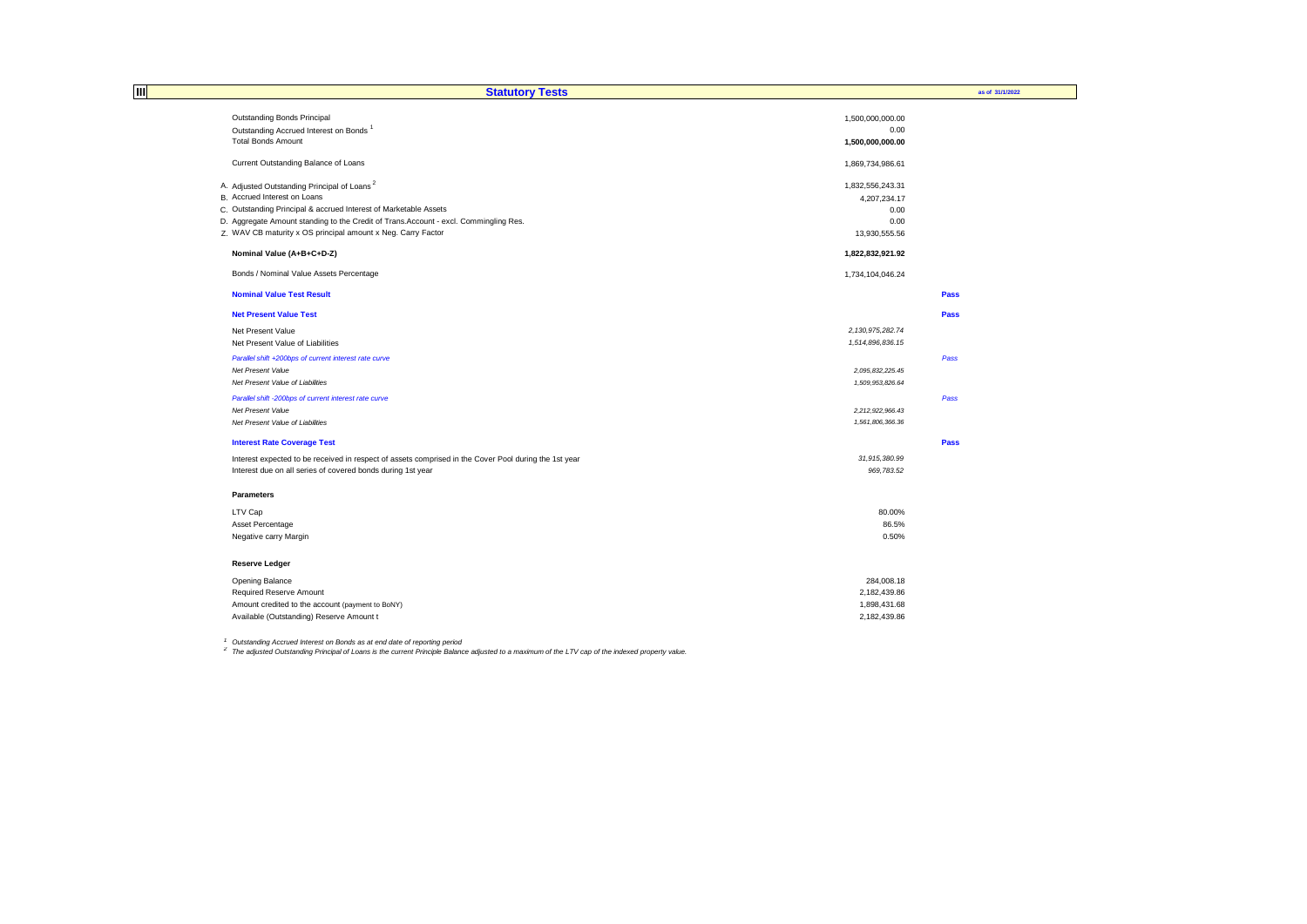| IШ | <b>Statutory Tests</b>                                                                                |                     | as of 31/1/2022 |
|----|-------------------------------------------------------------------------------------------------------|---------------------|-----------------|
|    | Outstanding Bonds Principal                                                                           | 1,500,000,000.00    |                 |
|    | Outstanding Accrued Interest on Bonds <sup>1</sup>                                                    | 0.00                |                 |
|    | <b>Total Bonds Amount</b>                                                                             | 1,500,000,000.00    |                 |
|    | Current Outstanding Balance of Loans                                                                  | 1,869,734,986.61    |                 |
|    | A. Adjusted Outstanding Principal of Loans <sup>2</sup>                                               | 1,832,556,243.31    |                 |
|    | B. Accrued Interest on Loans                                                                          | 4,207,234.17        |                 |
|    | C. Outstanding Principal & accrued Interest of Marketable Assets                                      | 0.00                |                 |
|    | D. Aggregate Amount standing to the Credit of Trans. Account - excl. Commingling Res.                 | 0.00                |                 |
|    | Z. WAV CB maturity x OS principal amount x Neg. Carry Factor                                          | 13,930,555.56       |                 |
|    | Nominal Value (A+B+C+D-Z)                                                                             | 1,822,832,921.92    |                 |
|    | Bonds / Nominal Value Assets Percentage                                                               | 1,734,104,046.24    |                 |
|    | <b>Nominal Value Test Result</b>                                                                      |                     | Pass            |
|    | <b>Net Present Value Test</b>                                                                         |                     | Pass            |
|    | Net Present Value                                                                                     | 2, 130, 975, 282.74 |                 |
|    | Net Present Value of Liabilities                                                                      | 1,514,896,836.15    |                 |
|    | Parallel shift +200bps of current interest rate curve                                                 |                     | Pass            |
|    | Net Present Value                                                                                     | 2,095,832,225.45    |                 |
|    | Net Present Value of Liabilities                                                                      | 1,509,953,826.64    |                 |
|    | Parallel shift -200bps of current interest rate curve                                                 |                     | Pass            |
|    | Net Present Value                                                                                     | 2,212,922,966.43    |                 |
|    | Net Present Value of Liabilities                                                                      | 1,561,806,366.36    |                 |
|    | <b>Interest Rate Coverage Test</b>                                                                    |                     | Pass            |
|    | Interest expected to be received in respect of assets comprised in the Cover Pool during the 1st year | 31,915,380.99       |                 |
|    | Interest due on all series of covered bonds during 1st year                                           | 969,783.52          |                 |
|    | <b>Parameters</b>                                                                                     |                     |                 |
|    | LTV Cap                                                                                               | 80.00%              |                 |
|    | Asset Percentage                                                                                      | 86.5%               |                 |
|    | Negative carry Margin                                                                                 | 0.50%               |                 |
|    | <b>Reserve Ledger</b>                                                                                 |                     |                 |
|    | Opening Balance                                                                                       | 284,008.18          |                 |
|    | Required Reserve Amount                                                                               | 2,182,439.86        |                 |
|    | Amount credited to the account (payment to BoNY)                                                      | 1,898,431.68        |                 |
|    | Available (Outstanding) Reserve Amount t                                                              | 2.182.439.86        |                 |

<sup>1</sup> Outstanding Accrued Interest on Bonds as at end date of reporting period<br><sup>2</sup> The adjusted Outstanding Principal of Loans is the current Principle Balance adjusted to a maximum of the LTV cap of the indexed property val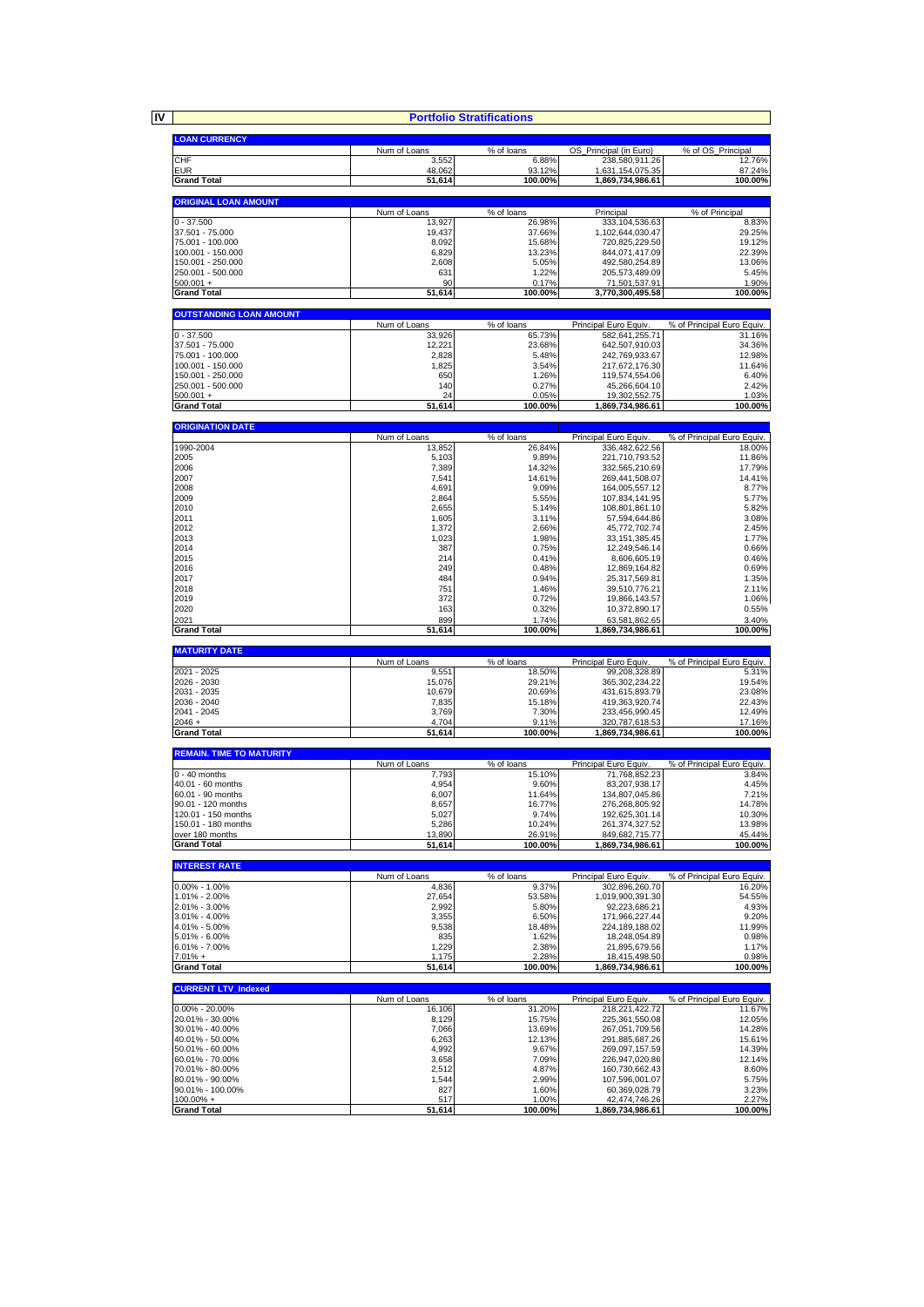**IV**

|                                           |                       | <b>Portfolio Stratifications</b> |                                        |                                     |
|-------------------------------------------|-----------------------|----------------------------------|----------------------------------------|-------------------------------------|
| <b>LOAN CURRENCY</b>                      |                       |                                  |                                        |                                     |
|                                           | Num of Loans          | % of loans                       | OS_Principal (in Euro)                 | % of OS Principal                   |
| CHF                                       | 3,552                 | 6.88%                            | 238,580,911.26                         | 12.76%                              |
| <b>EUR</b><br><b>Grand Total</b>          | 48,062                | 93.12%                           | 1,631,154,075.35                       | 87.24%                              |
|                                           | 51,614                | 100.00%                          | 1,869,734,986.61                       | 100.00%                             |
| <b>ORIGINAL LOAN AMOUNT</b>               |                       |                                  |                                        |                                     |
|                                           | Num of Loans          | % of loans                       | Principal                              | % of Principal                      |
| $0 - 37.500$<br>37.501 - 75.000           | 13,927<br>19,437      | 26.98%<br>37.66%                 | 333, 104, 536.63<br>1,102,644,030.47   | 8.83%<br>29.25%                     |
| 75.001 - 100.000                          | 8,092                 | 15.68%                           | 720,825,229.50                         | 19.12%                              |
| 100.001 - 150.000                         | 6,829                 | 13.23%                           | 844,071,417.09                         | 22.39%                              |
| 150.001 - 250.000                         | 2,608                 | 5.05%                            | 492,580,254.89                         | 13.06%                              |
| 250.001 - 500.000<br>$500.001 +$          | 631<br>90             | 1.22%<br>0.17%                   | 205,573,489.09<br>71,501,537.91        | 5.45%<br>1.90%                      |
| <b>Grand Total</b>                        | 51,614                | 100.00%                          | 3,770,300,495.58                       | 100.00%                             |
|                                           |                       |                                  |                                        |                                     |
| <b>OUTSTANDING LOAN AMOUNT</b>            | Num of Loans          | $\sqrt%$ of loans                | Principal Euro Equiv.                  | % of Principal Euro Equiv.          |
| 0 - 37.500                                | 33,926                | 65.73%                           | 582,641,255.71                         | 31.16%                              |
| 37.501 - 75.000                           | 12,221                | 23.68%                           | 642,507,910.03                         | 34.36%                              |
| 75.001 - 100.000<br>100.001 - 150.000     | 2,828<br>1,825        | 5.48%<br>3.54%                   | 242,769,933.67<br>217,672,176.30       | 12.98%<br>11.64%                    |
| 150.001 - 250.000                         | 650                   | 1.26%                            | 119,574,554.06                         | 6.40%                               |
| 250.001 - 500.000                         | 140                   | 0.27%                            | 45,266,604.10                          | 2.42%                               |
| $500.001 +$                               | 24                    | 0.05%                            | 19,302,552.75                          | 1.03%                               |
| <b>Grand Total</b>                        | 51,614                | 100.00%                          | 1,869,734,986.61                       | 100.00%                             |
| <b>ORIGINATION DATE</b>                   |                       |                                  |                                        |                                     |
|                                           | Num of Loans          | % of loans                       | Principal Euro Equiv.                  | % of Principal Euro Equiv.          |
| 1990-2004<br>2005                         | 13.852<br>5,103       | 26.84%<br>9.89%                  | 336,482,622.56<br>221.710.793.52       | 18.00%<br>11.86%                    |
| 2006                                      | 7,389                 | 14.32%                           | 332,565,210.69                         | 17.79%                              |
| 2007                                      | 7,541                 | 14.61%                           | 269,441,508.07                         | 14.41%                              |
| 2008                                      | 4,691                 | 9.09%                            | 164,005,557.12                         | 8.77%                               |
| 2009<br>2010                              | 2,864<br>2,655        | 5.55%<br>5.14%                   | 107,834,141.95<br>108,801,861.10       | 5.77%<br>5.82%                      |
| 2011                                      | 1,605                 | 3.11%                            | 57,594,644.86                          | 3.08%                               |
| 2012                                      | 1,372                 | 2.66%                            | 45,772,702.74                          | 2.45%                               |
| 2013<br>2014                              | 1,023<br>387          | 1.98%<br>0.75%                   | 33, 151, 385. 45<br>12,249,546.14      | 1.77%<br>0.66%                      |
| 2015                                      | 214                   | 0.41%                            | 8,606,605.19                           | 0.46%                               |
| 2016                                      | 249                   | 0.48%                            | 12,869,164.82                          | 0.69%                               |
| 2017                                      | 484                   | 0.94%                            | 25,317,569.81                          | 1.35%                               |
| 2018<br>2019                              | 751<br>372            | 1.46%<br>0.72%                   | 39,510,776.21<br>19,866,143.57         | 2.11%<br>1.06%                      |
| 2020                                      | 163                   | 0.32%                            | 10,372,890.17                          | 0.55%                               |
| 2021                                      | 899                   | 1.74%                            | 63,581,862.65                          | 3.40%                               |
| <b>Grand Total</b>                        | 51,614                | 100.00%                          | 1,869,734,986.61                       | 100.00%                             |
| <b>MATURITY DATE</b>                      |                       |                                  |                                        |                                     |
|                                           | Num of Loans          | % of loans                       | Principal Euro Equiv.                  | % of Principal Euro Equiv.          |
| 2021 - 2025<br>2026 - 2030                | 9,551                 | 18.50%                           | 99,208,328.89                          | 5.31%                               |
| 2031 - 2035                               | 15,076<br>10,679      | 29.21%<br>20.69%                 | 365, 302, 234. 22<br>431,615,893.79    | 19.54%<br>23.08%                    |
| 2036 - 2040                               | 7,835                 | 15.18%                           | 419,363,920.74                         | 22.43%                              |
| 2041 - 2045                               | 3,769                 | 7.30%                            | 233,456,990.45                         | 12.49%                              |
| $2046 +$<br><b>Grand Total</b>            | 4,704<br>51,614       | 9.11%<br>100.00%                 | 320,787,618.53<br>1,869,734,986.61     | 17.16%<br>100.00%                   |
|                                           |                       |                                  |                                        |                                     |
| <b>REMAIN. TIME TO MATURITY</b>           |                       |                                  |                                        |                                     |
| $0 - 40$ months                           | Num of Loans<br>7,793 | % of loans<br>15.10%             | Principal Euro Equiv.<br>71.768.852.23 | % of Principal Euro Equiv.<br>3.84% |
| 40.01 - 60 months                         | 4,954                 | 9.60%                            | 83,207,938.17                          | 4.45%                               |
| 60.01 - 90 months                         | 6,007                 | 11.64%                           | 134,807,045.86                         | 7.21%                               |
| 90.01 - 120 months<br>120.01 - 150 months | 8,657<br>5,027        | 16.77%<br>9.74%                  | 276,268,805.92                         | 14.78%<br>10.30%                    |
| 150.01 - 180 months                       | 5,286                 | 10.24%                           | 192,625,301.14<br>261,374,327.52       | 13.98%                              |
| over 180 months                           | 13,890                | 26.91%                           | 849.682.715.77                         | 45.44%                              |
| <b>Grand Total</b>                        | 51,614                | 100.00%                          | 1,869,734,986.61                       | 100.00%                             |
| <b>INTEREST RATE</b>                      |                       |                                  |                                        |                                     |
|                                           | Num of Loans          | % of loans                       | Principal Euro Equiv.                  | % of Principal Euro Equiv.          |
| $0.00\% - 1.00\%$                         | 4,836                 | 9.37%                            | 302,896,260.70                         | 16.20%                              |
| 1.01% - 2.00%<br>2.01% - 3.00%            | 27,654<br>2,992       | 53.58%<br>5.80%                  | 1,019,900,391.30<br>92,223,686.21      | 54.55%<br>4.93%                     |
| 3.01% - 4.00%                             | 3,355                 | 6.50%                            | 171,966,227.44                         | 9.20%                               |
| 4.01% - 5.00%                             | 9,538                 | 18.48%                           | 224, 189, 188.02                       | 11.99%                              |
| 5.01% - 6.00%                             | 835                   | 1.62%                            | 18,248,054.89                          | 0.98%                               |
| $6.01\% - 7.00\%$<br>$7.01% +$            | 1,229<br>1,175        | 2.38%<br>2.28%                   | 21,895,679.56<br>18,415,498.50         | 1.17%<br>0.98%                      |
| <b>Grand Total</b>                        | 51,614                | 100.00%                          | 1,869,734,986.61                       | 100.00%                             |
|                                           |                       |                                  |                                        |                                     |
| <b>CURRENT LTV Indexed</b>                | Num of Loans          | % of loans                       | Principal Euro Equiv                   | % of Principal Euro Equiv.          |
| $0.00\% - 20.00\%$                        | 16,106                | 31.20%                           | 218,221,422.72                         | 11.67%                              |
| 20.01% - 30.00%                           | 8,129                 | 15.75%                           | 225,361,550.08                         | 12.05%                              |
| 30.01% - 40.00%                           | 7,066                 | 13.69%                           | 267,051,709.56                         | 14.28%                              |
| 40.01% - 50.00%<br>50.01% - 60.00%        | 6,263<br>4,992        | 12.13%<br>9.67%                  | 291,885,687.26<br>269,097,157.59       | 15.61%<br>14.39%                    |
| 60.01% - 70.00%                           | 3,658                 | 7.09%                            | 226,947,020.86                         | 12.14%                              |
| 70.01% - 80.00%                           | 2,512                 | 4.87%                            | 160,730,662.43                         | 8.60%                               |
| 80.01% - 90.00%                           | 1,544                 | 2.99%                            | 107,596,001.07                         | 5.75%                               |
|                                           |                       |                                  |                                        |                                     |
| 90.01% - 100.00%<br>$100.00\% +$          | 827<br>517            | 1.60%<br>1.00%                   | 60,369,028.79<br>42,474,746.26         | 3.23%<br>2.27%                      |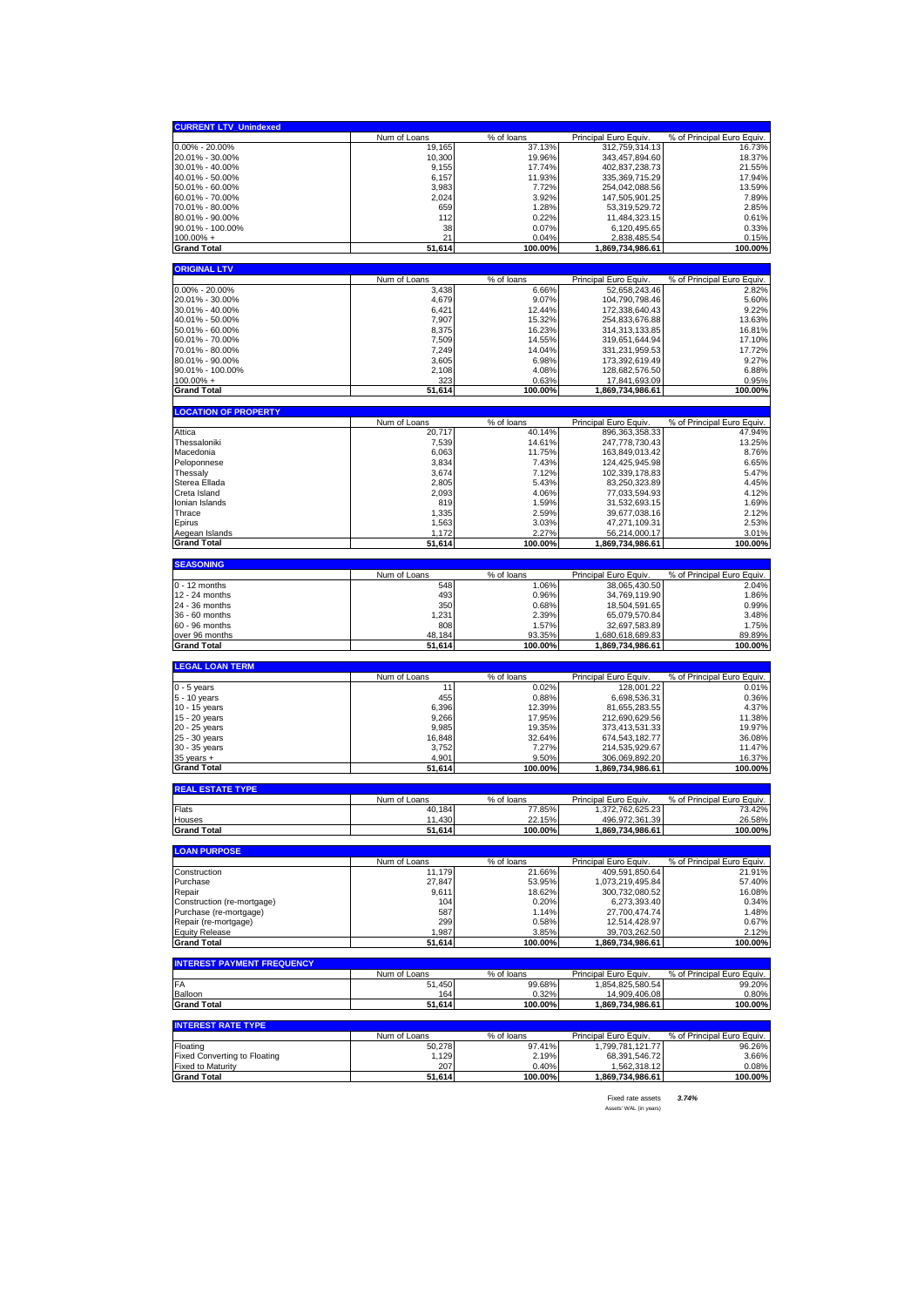| <b>CURRENT LTV_Unindexed</b>                                    |                     |                     |                                        |                                     |
|-----------------------------------------------------------------|---------------------|---------------------|----------------------------------------|-------------------------------------|
|                                                                 | Num of Loans        | % of loans          | Principal Euro Equiv.                  | % of Principal Euro Equiv.          |
| $0.00\% - 20.00\%$                                              | 19,165              | 37.13%              | 312,759,314.13                         | 16.73%                              |
| 20.01% - 30.00%                                                 | 10,300              | 19.96%              | 343,457,894.60                         | 18.37%                              |
| 30.01% - 40.00%<br>40.01% - 50.00%                              | 9,155<br>6,157      | 17.74%<br>11.93%    | 402,837,238.73<br>335, 369, 715.29     | 21.55%<br>17.94%                    |
| 50.01% - 60.00%                                                 | 3,983               | 7.72%               | 254,042,088.56                         | 13.59%                              |
| 60.01% - 70.00%                                                 | 2,024               | 3.92%               | 147,505,901.25                         | 7.89%                               |
| 70.01% - 80.00%                                                 | 659                 | 1.28%               | 53,319,529.72                          | 2.85%                               |
| 80.01% - 90.00%                                                 | 112                 | 0.22%               | 11,484,323.15                          | 0.61%                               |
| 90.01% - 100.00%                                                | 38                  | 0.07%               | 6,120,495.65                           | 0.33%                               |
| $100.00\% +$<br><b>Grand Total</b>                              | 21<br>51,614        | 0.04%<br>100.00%    | 2,838,485.54<br>1,869,734,986.61       | 0.15%<br>100.00%                    |
|                                                                 |                     |                     |                                        |                                     |
| <b>ORIGINAL LTV</b>                                             |                     |                     |                                        |                                     |
|                                                                 | Num of Loans        | % of loans          | Principal Euro Equiv.                  | % of Principal Euro Equiv.          |
| $0.00\% - 20.00\%$                                              | 3,438               | 6.66%               | 52,658,243.46                          | 2.82%                               |
| 20.01% - 30.00%<br>30.01% - 40.00%                              | 4,679<br>6,421      | 9.07%<br>12.44%     | 104,790,798.46<br>172,338,640.43       | 5.60%<br>9.22%                      |
| 40.01% - 50.00%                                                 | 7,907               | 15.32%              | 254,833,676.88                         | 13.63%                              |
| 50.01% - 60.00%                                                 | 8,375               | 16.23%              | 314,313,133.85                         | 16.81%                              |
| 60.01% - 70.00%                                                 | 7,509               | 14.55%              | 319,651,644.94                         | 17.10%                              |
| 70.01% - 80.00%                                                 | 7,249               | 14.04%              | 331,231,959.53                         | 17.72%                              |
| 80.01% - 90.00%                                                 | 3,605               | 6.98%               | 173,392,619.49                         | 9.27%                               |
| 90.01% - 100.00%<br>$100.00\%$ +                                | 2,108<br>323        | 4.08%               | 128,682,576.50                         | 6.88%<br>0.95%                      |
| <b>Grand Total</b>                                              | 51,614              | 0.63%<br>100.00%    | 17,841,693.09<br>1,869,734,986.61      | 100.00%                             |
|                                                                 |                     |                     |                                        |                                     |
| <b>LOCATION OF PROPERTY</b>                                     |                     |                     |                                        |                                     |
|                                                                 | Num of Loans        | % of loans          | Principal Euro Equiv                   | % of Principal Euro Equiv.          |
| Attica                                                          | 20,717              | 40.14%              | 896,363,358.33                         | 47.94%                              |
| Thessaloniki<br>Macedonia                                       | 7,539<br>6,063      | 14.61%<br>11.75%    | 247,778,730.43<br>163,849,013.42       | 13.25%<br>8.76%                     |
| Peloponnese                                                     | 3,834               | 7.43%               | 124,425,945.98                         | 6.65%                               |
| Thessaly                                                        | 3,674               | 7.12%               | 102,339,178.83                         | 5.47%                               |
| Sterea Ellada                                                   | 2,805               | 5.43%               | 83,250,323.89                          | 4.45%                               |
| Creta Island                                                    | 2,093               | 4.06%               | 77,033,594.93                          | 4.12%                               |
| Ionian Islands                                                  | 819                 | 1.59%               | 31,532,693.15                          | 1.69%                               |
| Thrace                                                          | 1,335               | 2.59%               | 39,677,038.16                          | 2.12%                               |
| Epirus<br>Aegean Islands                                        | 1,563<br>1,172      | 3.03%<br>2.27%      | 47,271,109.31<br>56,214,000.17         | 2.53%<br>3.01%                      |
| <b>Grand Total</b>                                              | 51,614              | 100.00%             | 1,869,734,986.61                       | 100.00%                             |
|                                                                 |                     |                     |                                        |                                     |
| <b>SEASONING</b>                                                |                     |                     |                                        |                                     |
| $0 - 12$ months                                                 | Num of Loans<br>548 | % of loans<br>1.06% | Principal Euro Equiv.<br>38,065,430.50 | % of Principal Euro Equiv.<br>2.04% |
| 12 - 24 months                                                  | 493                 |                     | 34,769,119.90                          | 1.86%                               |
|                                                                 |                     |                     |                                        |                                     |
| 24 - 36 months                                                  | 350                 | 0.96%<br>0.68%      | 18,504,591.65                          | 0.99%                               |
| 36 - 60 months                                                  | 1,231               | 2.39%               | 65,079,570.84                          | 3.48%                               |
| 60 - 96 months                                                  | 808                 | 1.57%               | 32,697,583.89                          | 1.75%                               |
| over 96 months                                                  | 48,184              | 93.35%              | 1,680,618,689.83                       | 89.89%                              |
| <b>Grand Total</b>                                              | 51,614              | 100.00%             | 1,869,734,986.61                       | 100.00%                             |
| <b>LEGAL LOAN TERM</b>                                          |                     |                     |                                        |                                     |
|                                                                 | Num of Loans        | % of loans          | Principal Euro Equiv                   | % of Principal Euro Equiv.          |
| $0 - 5$ years                                                   | 11                  | 0.02%               | 128,001.22                             | 0.01%                               |
| 5 - 10 years                                                    | 455                 | 0.88%               | 6,698,536.31                           | 0.36%                               |
| 10 - 15 years                                                   | 6,396<br>9,266      | 12.39%              | 81,655,283.55<br>212,690,629.56        | 4.37%                               |
| 15 - 20 years<br>20 - 25 years                                  | 9,985               | 17.95%<br>19.35%    | 373,413,531.33                         | 11.38%<br>19.97%                    |
| 25 - 30 years                                                   | 16,848              | 32.64%              | 674,543,182.77                         | 36.08%                              |
| 30 - 35 years                                                   | 3,752               | 7.27%               | 214,535,929.67                         | 11.47%                              |
| $35$ years $+$                                                  | 4,901               | 9.50%               | 306,069,892.20                         | 16.37%                              |
| <b>Grand Total</b>                                              | 51,614              | 100.00%             | 1,869,734,986.61                       | 100.00%                             |
| <b>REAL ESTATE TYPE</b>                                         |                     |                     |                                        |                                     |
|                                                                 | Num of Loans        | % of loans          | Principal Euro Equiv                   | % of Principal Euro Equiv.          |
| Flats                                                           | 40,184              | 77.85%              | 1,372,762,625.23                       | 73.42%                              |
| Houses                                                          | 11,430              | 22.15%              | 496,972,361.39                         | 26.58%                              |
| <b>Grand Total</b>                                              | 51,614              | 100.00%             | 1,869,734,986.61                       | 100.00%                             |
| <b>LOAN PURPOSE</b>                                             |                     |                     |                                        |                                     |
|                                                                 | Num of Loans        | % of loans          | Principal Euro Equiv.                  | % of Principal Euro Equiv.          |
| Construction                                                    | 11,179              | 21.66%              | 409,591,850.64                         | 21.91%                              |
| Purchase                                                        | 27,847              | 53.95%              | 1,073,219,495.84                       | 57.40%                              |
| Repair                                                          | 9,611               | 18.62%              | 300,732,080.52                         | 16.08%                              |
| Construction (re-mortgage)<br>Purchase (re-mortgage)            | 104<br>587          | 0.20%<br>1.14%      | 6,273,393.40<br>27,700,474.74          | 0.34%<br>1.48%                      |
| Repair (re-mortgage)                                            | 299                 | 0.58%               | 12,514,428.97                          | 0.67%                               |
| <b>Equity Release</b>                                           | 1,987               | 3.85%               | 39,703,262.50                          | 2.12%                               |
| <b>Grand Total</b>                                              | 51,614              | 100.00%             | 1,869,734,986.61                       | 100.00%                             |
| <b>INTEREST PAYMENT FREQUENCY</b>                               |                     |                     |                                        |                                     |
|                                                                 | Num of Loans        | % of loans          | Principal Euro Equiv.                  | % of Principal Euro Equiv.          |
| FA                                                              | 51,450              | 99.68%              | 1,854,825,580.54                       | 99.20%                              |
| Balloon                                                         | 164                 | 0.32%               | 14,909,406.08                          | 0.80%                               |
| <b>Grand Total</b>                                              | 51,614              | 100.00%             | 1,869,734,986.61                       | 100.00%                             |
| <b>INTEREST RATE TYPE</b>                                       |                     |                     |                                        |                                     |
|                                                                 | Num of Loans        | % of loans          | Principal Euro Equiv.                  | % of Principal Euro Equiv.          |
| Floating                                                        | 50,278              | 97.41%              | 1,799,781,121.77                       | 96.26%                              |
| <b>Fixed Converting to Floating</b><br><b>Fixed to Maturity</b> | 1,129<br>207        | 2.19%<br>0.40%      | 68,391,546.72<br>1,562,318.12          | 3.66%<br>0.08%                      |

Fixed rate assets *3.74%* Assets' WAL (in years)